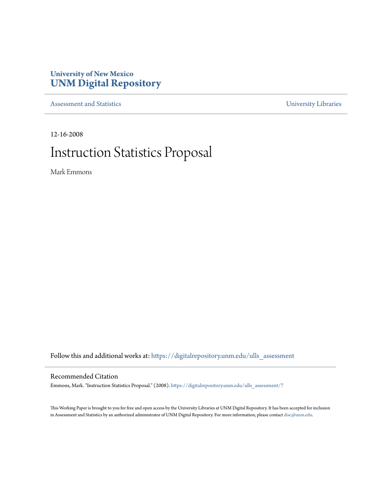# **University of New Mexico [UNM Digital Repository](https://digitalrepository.unm.edu?utm_source=digitalrepository.unm.edu%2Fulls_assessment%2F7&utm_medium=PDF&utm_campaign=PDFCoverPages)**

[Assessment and Statistics](https://digitalrepository.unm.edu/ulls_assessment?utm_source=digitalrepository.unm.edu%2Fulls_assessment%2F7&utm_medium=PDF&utm_campaign=PDFCoverPages) [University Libraries](https://digitalrepository.unm.edu/libraries?utm_source=digitalrepository.unm.edu%2Fulls_assessment%2F7&utm_medium=PDF&utm_campaign=PDFCoverPages)

12-16-2008

# Instruction Statistics Proposal

Mark Emmons

Follow this and additional works at: [https://digitalrepository.unm.edu/ulls\\_assessment](https://digitalrepository.unm.edu/ulls_assessment?utm_source=digitalrepository.unm.edu%2Fulls_assessment%2F7&utm_medium=PDF&utm_campaign=PDFCoverPages)

#### Recommended Citation

Emmons, Mark. "Instruction Statistics Proposal." (2008). [https://digitalrepository.unm.edu/ulls\\_assessment/7](https://digitalrepository.unm.edu/ulls_assessment/7?utm_source=digitalrepository.unm.edu%2Fulls_assessment%2F7&utm_medium=PDF&utm_campaign=PDFCoverPages)

This Working Paper is brought to you for free and open access by the University Libraries at UNM Digital Repository. It has been accepted for inclusion in Assessment and Statistics by an authorized administrator of UNM Digital Repository. For more information, please contact [disc@unm.edu.](mailto:disc@unm.edu)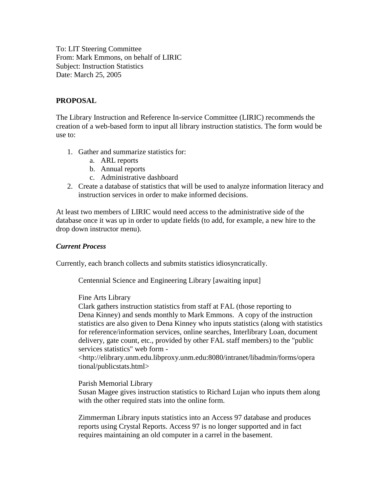To: LIT Steering Committee From: Mark Emmons, on behalf of LIRIC Subject: Instruction Statistics Date: March 25, 2005

# **PROPOSAL**

The Library Instruction and Reference In-service Committee (LIRIC) recommends the creation of a web-based form to input all library instruction statistics. The form would be use to:

- 1. Gather and summarize statistics for:
	- a. ARL reports
	- b. Annual reports
	- c. Administrative dashboard
- 2. Create a database of statistics that will be used to analyze information literacy and instruction services in order to make informed decisions.

At least two members of LIRIC would need access to the administrative side of the database once it was up in order to update fields (to add, for example, a new hire to the drop down instructor menu).

## *Current Process*

Currently, each branch collects and submits statistics idiosyncratically.

Centennial Science and Engineering Library [awaiting input]

#### Fine Arts Library

Clark gathers instruction statistics from staff at FAL (those reporting to Dena Kinney) and sends monthly to Mark Emmons. A copy of the instruction statistics are also given to Dena Kinney who inputs statistics (along with statistics for reference/information services, online searches, Interlibrary Loan, document delivery, gate count, etc., provided by other FAL staff members) to the "public services statistics" web form -

<http://elibrary.unm.edu.libproxy.unm.edu:8080/intranet/libadmin/forms/opera tional/publicstats.html>

Parish Memorial Library

Susan Magee gives instruction statistics to Richard Lujan who inputs them along with the other required stats into the online form.

Zimmerman Library inputs statistics into an Access 97 database and produces reports using Crystal Reports. Access 97 is no longer supported and in fact requires maintaining an old computer in a carrel in the basement.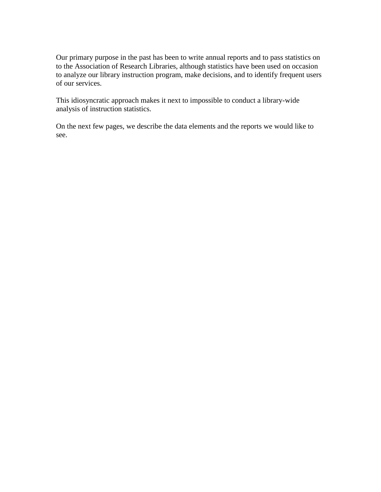Our primary purpose in the past has been to write annual reports and to pass statistics on to the Association of Research Libraries, although statistics have been used on occasion to analyze our library instruction program, make decisions, and to identify frequent users of our services.

This idiosyncratic approach makes it next to impossible to conduct a library-wide analysis of instruction statistics.

On the next few pages, we describe the data elements and the reports we would like to see.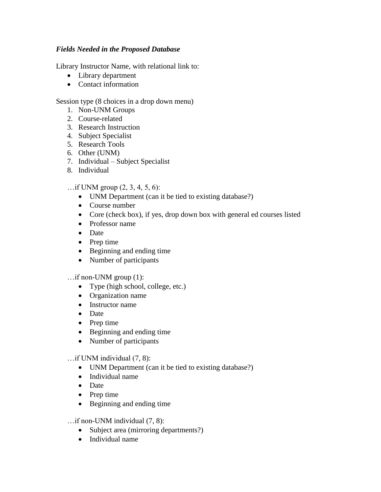### *Fields Needed in the Proposed Database*

Library Instructor Name, with relational link to:

- Library department
- Contact information

Session type (8 choices in a drop down menu)

- 1. Non-UNM Groups
- 2. Course-related
- 3. Research Instruction
- 4. Subject Specialist
- 5. Research Tools
- 6. Other (UNM)
- 7. Individual Subject Specialist
- 8. Individual

... if UNM group  $(2, 3, 4, 5, 6)$ :

- UNM Department (can it be tied to existing database?)
- Course number
- Core (check box), if yes, drop down box with general ed courses listed
- Professor name
- Date
- $\bullet$  Prep time
- Beginning and ending time
- Number of participants

…if non-UNM group (1):

- Type (high school, college, etc.)
- Organization name
- Instructor name
- Date
- $\bullet$  Prep time
- Beginning and ending time
- Number of participants

…if UNM individual (7, 8):

- UNM Department (can it be tied to existing database?)
- Individual name
- Date
- $\bullet$  Prep time
- Beginning and ending time

…if non-UNM individual (7, 8):

- Subject area (mirroring departments?)
- Individual name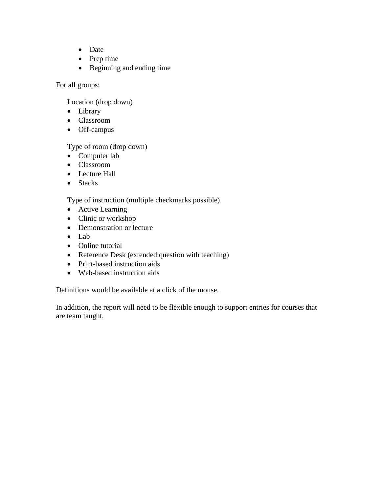- Date
- $\bullet$  Prep time
- Beginning and ending time

For all groups:

Location (drop down)

- Library
- Classroom
- Off-campus

Type of room (drop down)

- Computer lab
- Classroom
- Lecture Hall
- Stacks

Type of instruction (multiple checkmarks possible)

- Active Learning
- Clinic or workshop
- Demonstration or lecture
- Lab
- Online tutorial
- Reference Desk (extended question with teaching)
- Print-based instruction aids
- Web-based instruction aids

Definitions would be available at a click of the mouse.

In addition, the report will need to be flexible enough to support entries for courses that are team taught.